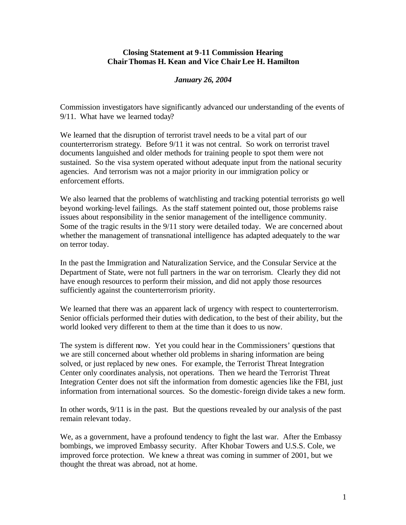## **Closing Statement at 9-11 Commission Hearing Chair Thomas H. Kean and Vice Chair Lee H. Hamilton**

## *January 26, 2004*

Commission investigators have significantly advanced our understanding of the events of 9/11. What have we learned today?

We learned that the disruption of terrorist travel needs to be a vital part of our counterterrorism strategy. Before 9/11 it was not central. So work on terrorist travel documents languished and older methods for training people to spot them were not sustained. So the visa system operated without adequate input from the national security agencies. And terrorism was not a major priority in our immigration policy or enforcement efforts.

We also learned that the problems of watchlisting and tracking potential terrorists go well beyond working-level failings. As the staff statement pointed out, those problems raise issues about responsibility in the senior management of the intelligence community. Some of the tragic results in the 9/11 story were detailed today. We are concerned about whether the management of transnational intelligence has adapted adequately to the war on terror today.

In the past the Immigration and Naturalization Service, and the Consular Service at the Department of State, were not full partners in the war on terrorism. Clearly they did not have enough resources to perform their mission, and did not apply those resources sufficiently against the counterterrorism priority.

We learned that there was an apparent lack of urgency with respect to counterterrorism. Senior officials performed their duties with dedication, to the best of their ability, but the world looked very different to them at the time than it does to us now.

The system is different now. Yet you could hear in the Commissioners' questions that we are still concerned about whether old problems in sharing information are being solved, or just replaced by new ones. For example, the Terrorist Threat Integration Center only coordinates analysis, not operations. Then we heard the Terrorist Threat Integration Center does not sift the information from domestic agencies like the FBI, just information from international sources. So the domestic-foreign divide takes a new form.

In other words, 9/11 is in the past. But the questions revealed by our analysis of the past remain relevant today.

We, as a government, have a profound tendency to fight the last war. After the Embassy bombings, we improved Embassy security. After Khobar Towers and U.S.S. Cole, we improved force protection. We knew a threat was coming in summer of 2001, but we thought the threat was abroad, not at home.